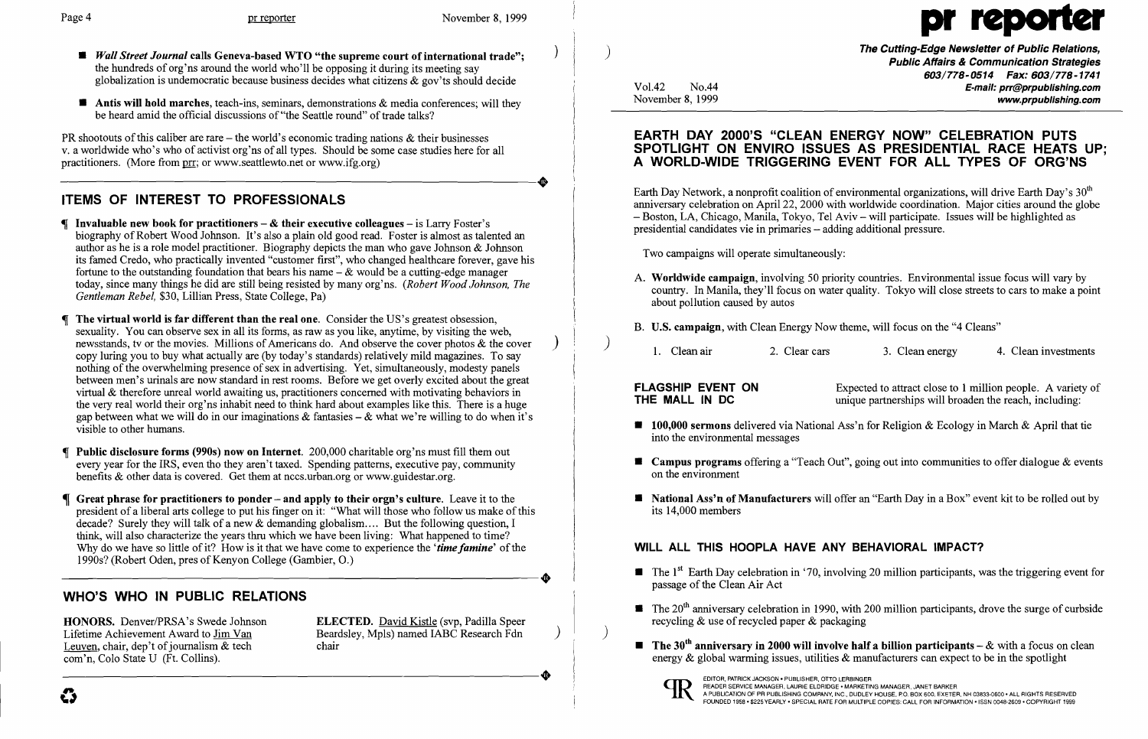- *Wall Street Journal* calls Geneva-based WTO "the supreme court of international trade"; the hundreds of org'ns around the world who'll be opposing it during its meeting say globalization is undemocratic because business decides what citizens  $\&$  gov'ts should decide
- $\blacksquare$  Antis will hold marches, teach-ins, seminars, demonstrations & media conferences; will they be heard amid the official discussions of "the Seattle round" of trade talks?

PR shootouts of this caliber are rare – the world's economic trading nations  $\&$  their businesses v. a worldwide who's who of activist org'ns of all types. Should be some case studies here for all practitioners. (More from <u>prr</u>; or www.seattlewto.net or www.ifg.org) practitioners. (More from prr; or www.seattlewto.net or www.ifg.org)

### ITEMS OF INTEREST TO PROFESSIONALS

- If Invaluable new book for practitioners  $-\mathcal{L}$  their executive colleagues  $-\text{ is } \text{Larry } \text{ Foster's}$ biography of Robert Wood Johnson. It's also a plain old good read. Foster is almost as talented an author as he is a role model practitioner. Biography depicts the man who gave Johnson & Johnson its famed Credo, who practically invented "customer first", who changed healthcare forever, gave his fortune to the outstanding foundation that bears his name  $-\&$  would be a cutting-edge manager today, since many things he did are still being resisted by many org'ns. *(Robert Wood Johnson, The Gentleman Rebel,* \$30, Lillian Press, State College, Pa)
- The virtual world is far different than the real one. Consider the US's greatest obsession, sexuality. You can observe sex in all its forms, as raw as you like, anytime, by visiting the web, newsstands, tv or the movies. Millions of Americans do. And observe the cover photos  $\&$  the cover copy luring you to buy what actually are (by today's standards) relatively mild magazines. To say nothing of the overwhelming presence of sex in advertising. Yet, simultaneously, modesty panels between men's urinals are now standard in rest rooms. Before we get overly excited about the great virtual & therefore unreal world awaiting us, practitioners concerned with motivating behaviors in the very real world their org'ns inhabit need to think hard about examples like this. There is a huge gap between what we will do in our imaginations  $\&$  fantasies –  $\&$  what we're willing to do when it's visible to other humans.
- Public disclosure forms (990s) now on Internet. 200,000 charitable org'ns must fill them out every year for the IRS, even tho they aren't taxed. Spending patterns, executive pay, community benefits & other data is covered. Get them at nccs.urban.org or www.guidestar.org.
- Great phrase for practitioners to ponder and apply to their orgn's culture. Leave it to the president of a liberal arts college to put his finger on it: "What will those who follow us make ofthis decade? Surely they will talk of a new & demanding globalism.... But the following question, I think, will also characterize the years thru which we have been living: What happened to time? Why do we have so little of it? How is it that we have come to experience the '*time famine*' of the 1990s? (Robert Oden, pres of Kenyon College (Gambier, O.) 1990s? (Robert Oden, pres of Kenyon College (Gambier, 0.)

HONORS. Denver/PRSA's Swede Johnson ELECTED. David Kistle (svp, Padilla Speer Lifetime Achievement Award to  $\underline{\text{Jim Van}}$  Beardsley, Mpls) named IABC Research Fdn I euven, chair, den't of iournalism & tech chair

Leuven, chair, dep't of journalism  $&$  tech com'n, Colo State U (Ft. Collins).

The Cutting-Edge Newsletter of Public Relations, ) Public Affairs & Communication Strategies 603/778-0514 Fax: 603/778-1741 Vol.42 No.44 **No.44** No.44 **E-mail: prr@prpublishing.com**<br>November 8, 1999 **November 8, 1999** www.prpublishing.com

Earth Day Network, a nonprofit coalition of environmental organizations, will drive Earth Day's  $30<sup>th</sup>$ anniversary celebration on April 22, 2000 with worldwide coordination. Major cities around the globe - Boston, LA, Chicago, Manila, Tokyo, Tel Aviv - will participate. Issues will be highlighted as presidential candidates vie in primaries - adding additional pressure.

A. Worldwide campaign, involving 50 priority countries. Environmental issue focus will vary by country. In Manila, they'll focus on water quality. Tokyo will close streets to cars to make a point

- about pollution caused by autos
- B. U.S. campaign, with Clean Energy Now theme, will focus on the "4 Cleans"
	-

)<br>1. Clean air 1. 2. Clear cars 1. Clean energy 4. Clean investments

**FLAGSHIP EVENT ON** Expected to attract close to 1 million people. A variety of **THE MALL IN DC** unique partnerships will broaden the reach, including: unique partnerships will broaden the reach, including:

 $\blacksquare$  100,000 sermons delivered via National Ass'n for Religion & Ecology in March & April that tie

**E** Campus programs offering a "Teach Out", going out into communities to offer dialogue  $\&$  events

**E** National Ass'n of Manufacturers will offer an "Earth Day in a Box" event kit to be rolled out by

 $\blacksquare$  The 1<sup>st</sup> Earth Day celebration in '70, involving 20 million participants, was the triggering event for

 $\blacksquare$  The 20<sup>th</sup> anniversary celebration in 1990, with 200 million participants, drove the surge of curbside

**•** The 30<sup>th</sup> anniversary in 2000 will involve half a billion participants – & with a focus on clean energy  $\&$  global warming issues, utilities  $\&$  manufacturers can expect to be in the spotlight

- passage of the Clean Air Act
- recycling  $&$  use of recycled paper  $&$  packaging
- EQUER, Color State U (Ft. Collins).<br>
Com'n, Colo State U (Ft. Collins).<br>
Com'n, Colo State U (Ft. Collins).<br>
Com'n, Colo State U (Ft. Collins).<br>
Com'n, Color State U (Ft. Collins).



 $\begin{array}{c}\n\bullet \\
\bullet \\
\bullet\n\end{array}$ 

 $\big)$ 

# Page 4 **pr reporter** November 8, 1999

#### WHO'S WHO IN PUBLIC RELATIONS

#### EARTH DAY 2000'S "CLEAN ENERGY NOW" CELEBRATION PUTS SPOTLIGHT ON ENVIRO ISSUES AS PRESIDENTIAL RACE HEATS UP; A WORLD-WIDE TRIGGERING EVENT FOR ALL TYPES OF ORG'NS

Two campaigns will operate simultaneously:

- into the environmental messages
- on the environment
- its 14,000 members

#### WILL ALL THIS HOOPLA HAVE ANY BEHAVIORAL IMPACT?